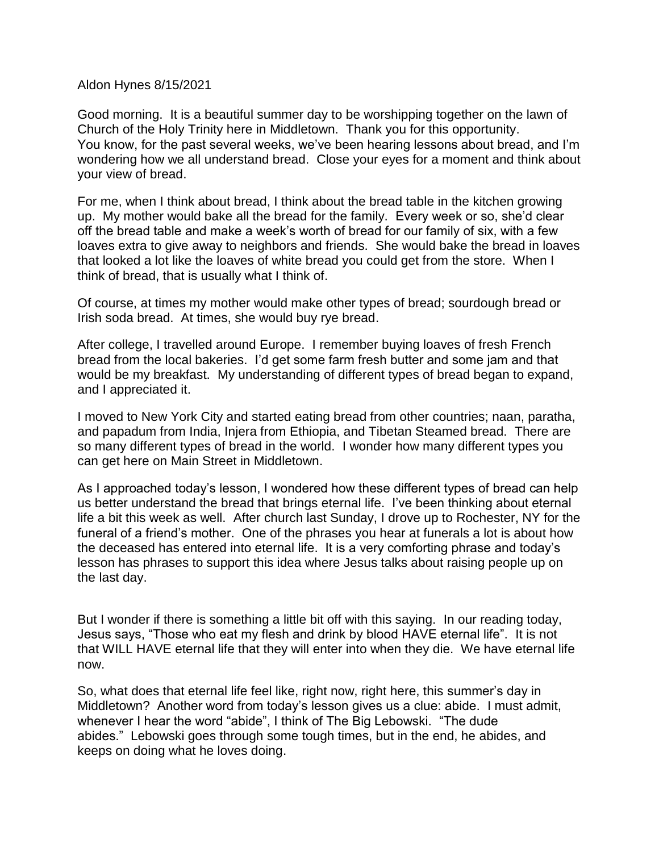Aldon Hynes 8/15/2021

Good morning. It is a beautiful summer day to be worshipping together on the lawn of Church of the Holy Trinity here in Middletown. Thank you for this opportunity. You know, for the past several weeks, we've been hearing lessons about bread, and I'm wondering how we all understand bread. Close your eyes for a moment and think about your view of bread.

For me, when I think about bread, I think about the bread table in the kitchen growing up. My mother would bake all the bread for the family. Every week or so, she'd clear off the bread table and make a week's worth of bread for our family of six, with a few loaves extra to give away to neighbors and friends. She would bake the bread in loaves that looked a lot like the loaves of white bread you could get from the store. When I think of bread, that is usually what I think of.

Of course, at times my mother would make other types of bread; sourdough bread or Irish soda bread. At times, she would buy rye bread.

After college, I travelled around Europe. I remember buying loaves of fresh French bread from the local bakeries. I'd get some farm fresh butter and some jam and that would be my breakfast. My understanding of different types of bread began to expand, and I appreciated it.

I moved to New York City and started eating bread from other countries; naan, paratha, and papadum from India, Injera from Ethiopia, and Tibetan Steamed bread. There are so many different types of bread in the world. I wonder how many different types you can get here on Main Street in Middletown.

As I approached today's lesson, I wondered how these different types of bread can help us better understand the bread that brings eternal life. I've been thinking about eternal life a bit this week as well. After church last Sunday, I drove up to Rochester, NY for the funeral of a friend's mother. One of the phrases you hear at funerals a lot is about how the deceased has entered into eternal life. It is a very comforting phrase and today's lesson has phrases to support this idea where Jesus talks about raising people up on the last day.

But I wonder if there is something a little bit off with this saying. In our reading today, Jesus says, "Those who eat my flesh and drink by blood HAVE eternal life". It is not that WILL HAVE eternal life that they will enter into when they die. We have eternal life now.

So, what does that eternal life feel like, right now, right here, this summer's day in Middletown? Another word from today's lesson gives us a clue: abide. I must admit, whenever I hear the word "abide", I think of The Big Lebowski. "The dude abides." Lebowski goes through some tough times, but in the end, he abides, and keeps on doing what he loves doing.